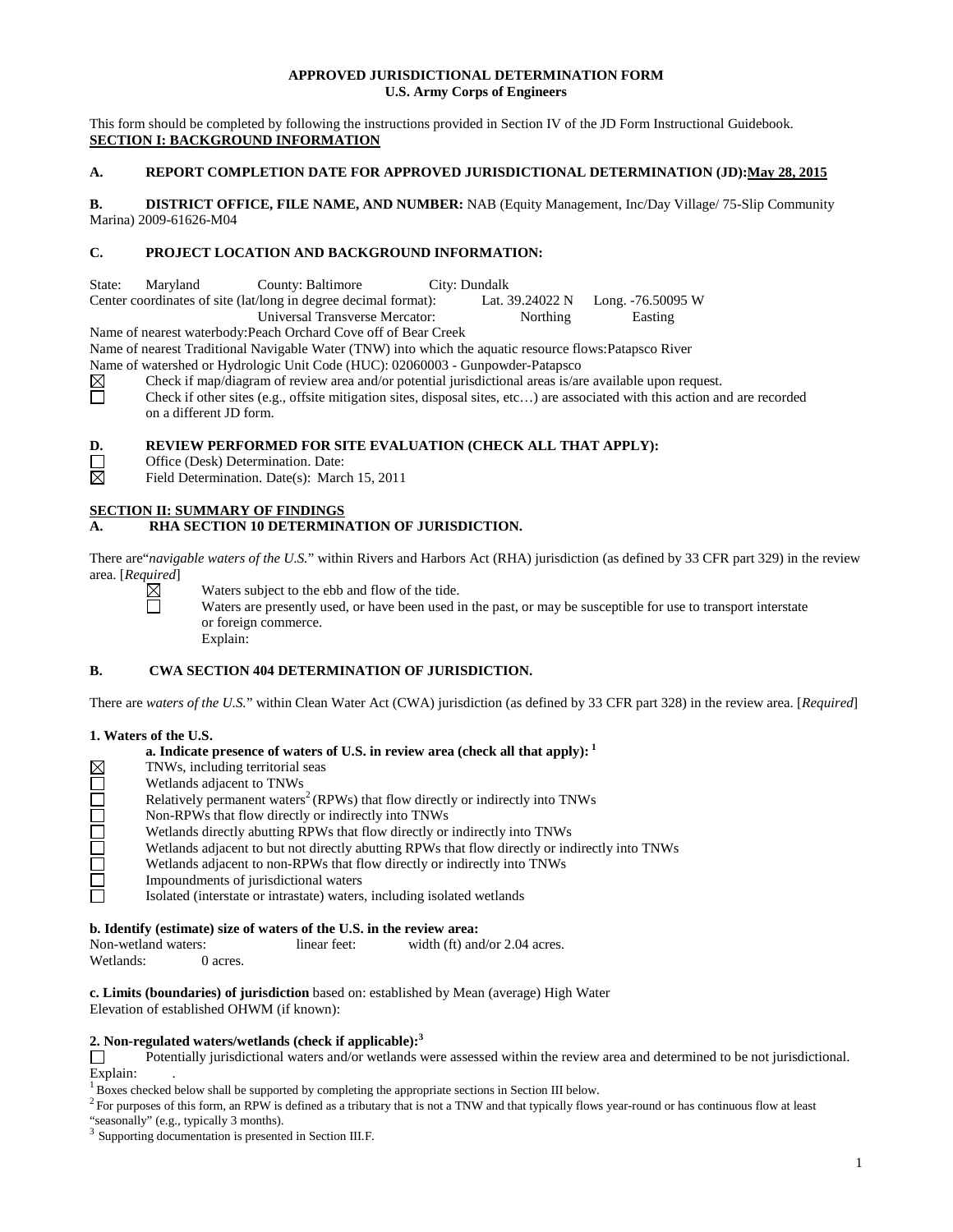# **APPROVED JURISDICTIONAL DETERMINATION FORM U.S. Army Corps of Engineers**

This form should be completed by following the instructions provided in Section IV of the JD Form Instructional Guidebook. **SECTION I: BACKGROUND INFORMATION**

## A. REPORT COMPLETION DATE FOR APPROVED JURISDICTIONAL DETERMINATION (JD): May 28, 2015

**B. DISTRICT OFFICE, FILE NAME, AND NUMBER:** NAB (Equity Management, Inc/Day Village/ 75-Slip Community Marina) 2009-61626-M04

# **C. PROJECT LOCATION AND BACKGROUND INFORMATION:**

State: Maryland County: Baltimore City: Dundalk Center coordinates of site (lat/long in degree decimal format): Lat. 39.24022 N Long. -76.50095 W Universal Transverse Mercator: Northing Easting

Name of nearest waterbody:Peach Orchard Cove off of Bear Creek

Name of nearest Traditional Navigable Water (TNW) into which the aquatic resource flows:Patapsco River

Name of watershed or Hydrologic Unit Code (HUC): 02060003 - Gunpowder-Patapsco

Check if map/diagram of review area and/or potential jurisdictional areas is/are available upon request.  $\boxtimes$ 亘

Check if other sites (e.g., offsite mitigation sites, disposal sites, etc…) are associated with this action and are recorded on a different JD form.

**D. REVIEW PERFORMED FOR SITE EVALUATION (CHECK ALL THAT APPLY):**<br>
Office (Desk) Determination. Date:<br>
Field Determination. Date(s): March 15, 2011

Office (Desk) Determination. Date:

Field Determination. Date(s): March 15, 2011

# **SECTION II: SUMMARY OF FINDINGS**

# **A. RHA SECTION 10 DETERMINATION OF JURISDICTION.**

There are "*navigable waters of the U.S.*" within Rivers and Harbors Act (RHA) jurisdiction (as defined by 33 CFR part 329) in the review area. [*Required*]

Waters subject to the ebb and flow of the tide. Waters are presently used, or have been used in the past, or may be susceptible for use to transport interstate or foreign commerce. Explain:

# **B. CWA SECTION 404 DETERMINATION OF JURISDICTION.**

There are *waters of the U.S.*" within Clean Water Act (CWA) jurisdiction (as defined by 33 CFR part 328) in the review area. [*Required*]

## **1. Waters of the U.S.**

|        | a. Indicate presence of waters of U.S. in review area (check all that apply): <sup>1</sup>     |
|--------|------------------------------------------------------------------------------------------------|
|        | TNWs, including territorial seas                                                               |
|        | Wetlands adjacent to TNWs                                                                      |
| Ŏ      | Relatively permanent waters <sup>2</sup> (RPWs) that flow directly or indirectly into TNWs     |
|        | Non-RPWs that flow directly or indirectly into TNWs                                            |
|        | Wetlands directly abutting RPWs that flow directly or indirectly into TNWs                     |
| $\Box$ | Wetlands adjacent to but not directly abutting RPWs that flow directly or indirectly into TNWs |
| Ō      | Wetlands adjacent to non-RPWs that flow directly or indirectly into TNWs                       |
| ▣      | Impoundments of jurisdictional waters                                                          |
|        | Isolated (interstate or intrastate) waters, including isolated wetlands                        |

## **b. Identify (estimate) size of waters of the U.S. in the review area:**

Non-wetland waters: linear feet: width (ft) and/or 2.04 acres.

Wetlands: 0 acres.

**c. Limits (boundaries) of jurisdiction** based on: established by Mean (average) High Water Elevation of established OHWM (if known):

# **2. Non-regulated waters/wetlands (check if applicable):**<sup>3</sup>  $\Box$  Potentially jurisdictional waters and/or wetlands v

Potentially jurisdictional waters and/or wetlands were assessed within the review area and determined to be not jurisdictional.

Explain:  $1$ <sup>1</sup> Boxes checked below shall be supported by completing the appropriate sections in Section III below.

2 For purposes of this form, an RPW is defined as a tributary that is not a TNW and that typically flows year-round or has continuous flow at least "seasonally" (e.g., typically 3 months).

 $3$  Supporting documentation is presented in Section III.F.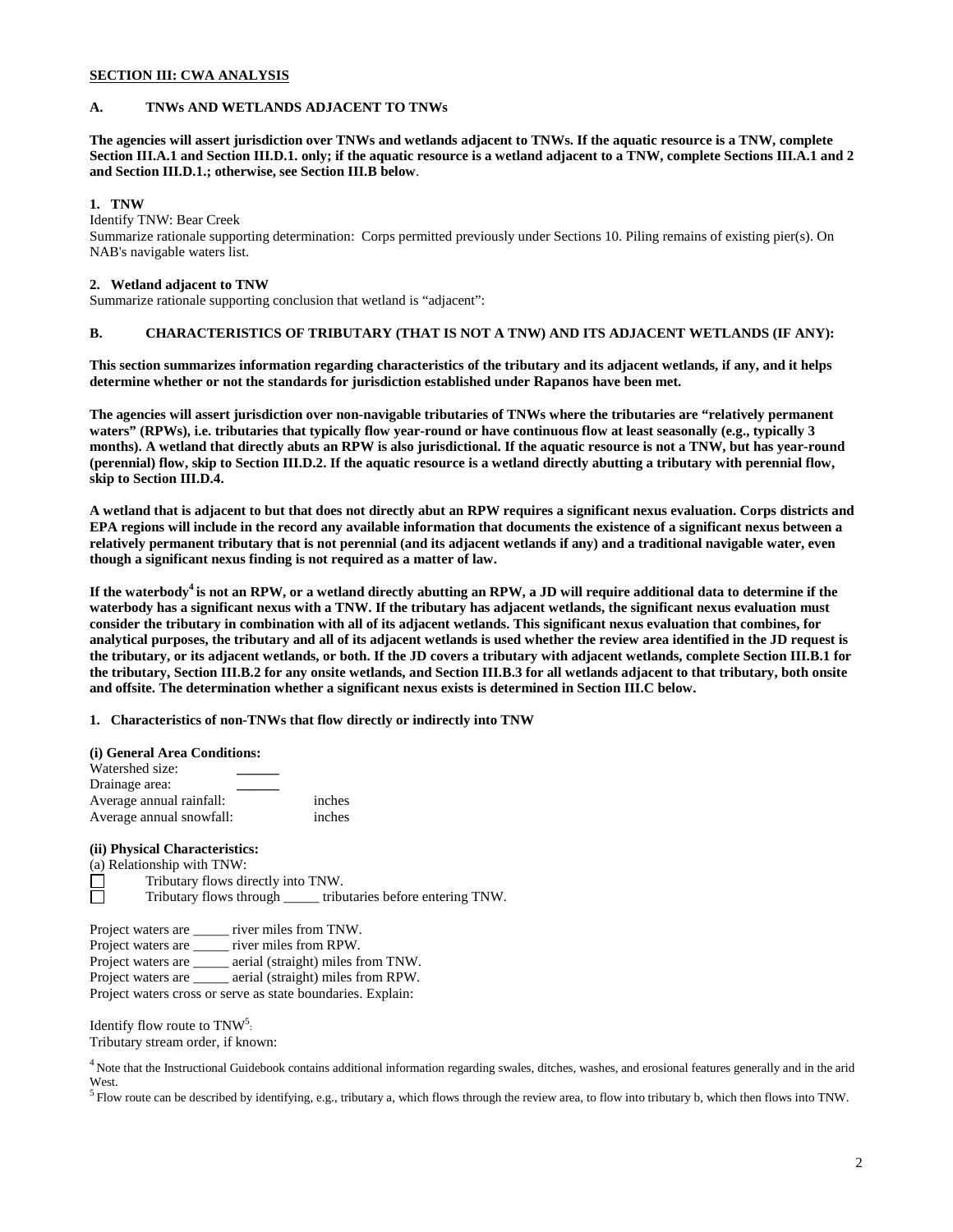# **SECTION III: CWA ANALYSIS**

# **A. TNWs AND WETLANDS ADJACENT TO TNWs**

**The agencies will assert jurisdiction over TNWs and wetlands adjacent to TNWs. If the aquatic resource is a TNW, complete Section III.A.1 and Section III.D.1. only; if the aquatic resource is a wetland adjacent to a TNW, complete Sections III.A.1 and 2 and Section III.D.1.; otherwise, see Section III.B below**.

#### **1. TNW**

Identify TNW: Bear Creek

Summarize rationale supporting determination: Corps permitted previously under Sections 10. Piling remains of existing pier(s). On NAB's navigable waters list.

#### **2. Wetland adjacent to TNW**

Summarize rationale supporting conclusion that wetland is "adjacent":

# **B. CHARACTERISTICS OF TRIBUTARY (THAT IS NOT A TNW) AND ITS ADJACENT WETLANDS (IF ANY):**

**This section summarizes information regarding characteristics of the tributary and its adjacent wetlands, if any, and it helps determine whether or not the standards for jurisdiction established under Rapanos have been met.**

**The agencies will assert jurisdiction over non-navigable tributaries of TNWs where the tributaries are "relatively permanent waters" (RPWs), i.e. tributaries that typically flow year-round or have continuous flow at least seasonally (e.g., typically 3 months). A wetland that directly abuts an RPW is also jurisdictional. If the aquatic resource is not a TNW, but has year-round (perennial) flow, skip to Section III.D.2. If the aquatic resource is a wetland directly abutting a tributary with perennial flow, skip to Section III.D.4.**

**A wetland that is adjacent to but that does not directly abut an RPW requires a significant nexus evaluation. Corps districts and EPA regions will include in the record any available information that documents the existence of a significant nexus between a relatively permanent tributary that is not perennial (and its adjacent wetlands if any) and a traditional navigable water, even though a significant nexus finding is not required as a matter of law.**

**If the waterbody<sup>4</sup> is not an RPW, or a wetland directly abutting an RPW, a JD will require additional data to determine if the waterbody has a significant nexus with a TNW. If the tributary has adjacent wetlands, the significant nexus evaluation must consider the tributary in combination with all of its adjacent wetlands. This significant nexus evaluation that combines, for analytical purposes, the tributary and all of its adjacent wetlands is used whether the review area identified in the JD request is the tributary, or its adjacent wetlands, or both. If the JD covers a tributary with adjacent wetlands, complete Section III.B.1 for the tributary, Section III.B.2 for any onsite wetlands, and Section III.B.3 for all wetlands adjacent to that tributary, both onsite and offsite. The determination whether a significant nexus exists is determined in Section III.C below.**

**1. Characteristics of non-TNWs that flow directly or indirectly into TNW**

**(i) General Area Conditions:** Watershed size: **\_\_\_\_\_\_** Drainage area: **\_\_\_\_\_\_** Average annual rainfall: inches Average annual snowfall: inches

# **(ii) Physical Characteristics:**

(a) Relationship with TNW:<br>  $\Box$  Tributary flows di

Tributary flows directly into TNW.

 $\Box$ Tributary flows through \_\_\_\_\_ tributaries before entering TNW.

Project waters are \_\_\_\_\_ river miles from TNW.

Project waters are \_\_\_\_\_ river miles from RPW.

Project waters are \_\_\_\_\_ aerial (straight) miles from TNW.

Project waters are \_\_\_\_\_ aerial (straight) miles from RPW.

Project waters cross or serve as state boundaries. Explain:

Identify flow route to  $\text{TNW}^5$ :

Tributary stream order, if known:

 $4$  Note that the Instructional Guidebook contains additional information regarding swales, ditches, washes, and erosional features generally and in the arid West.

<sup>5</sup> Flow route can be described by identifying, e.g., tributary a, which flows through the review area, to flow into tributary b, which then flows into TNW.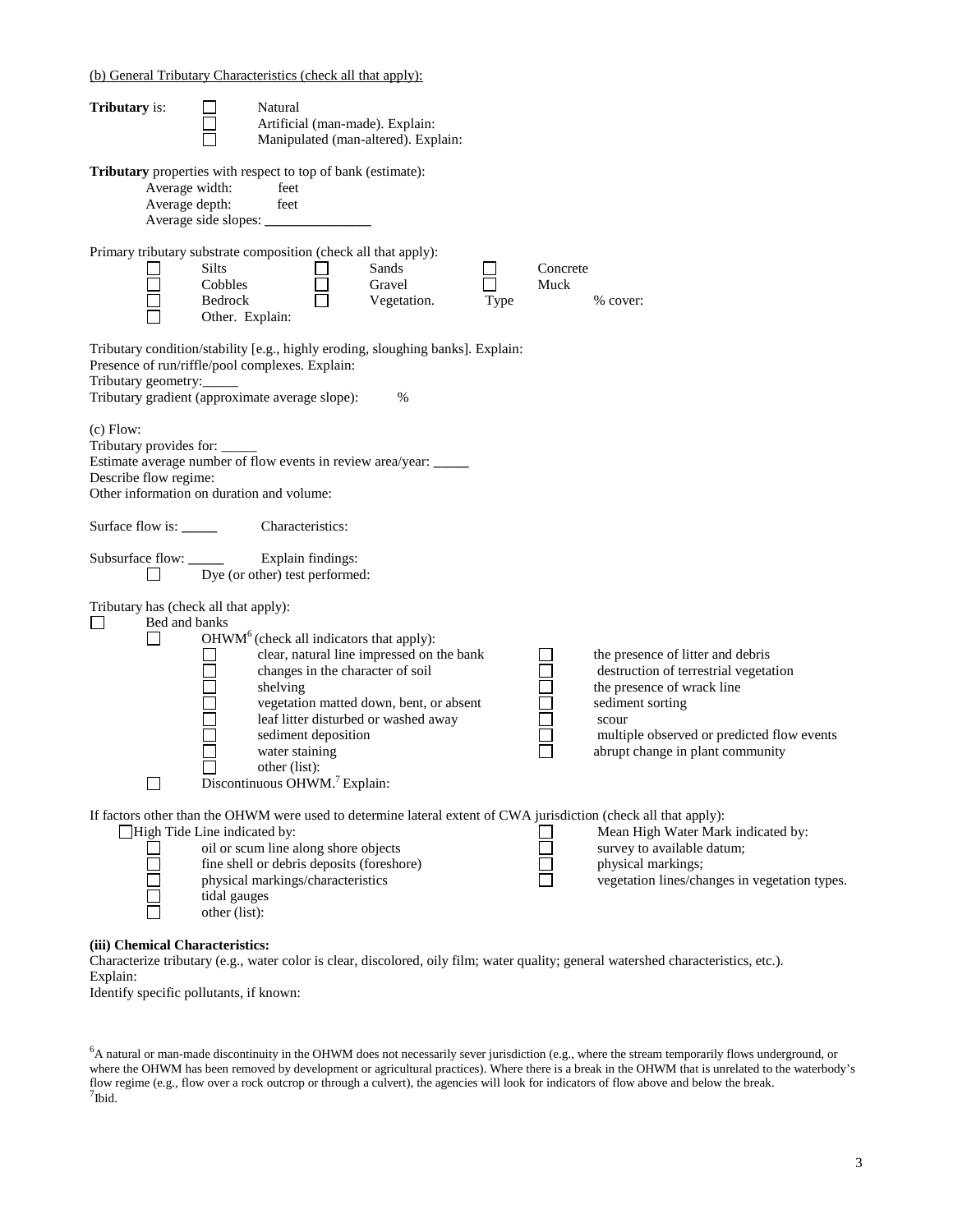(b) General Tributary Characteristics (check all that apply):

| <b>Tributary</b> is:                                                                                                                                                                                         |                                                       | Natural                                                                                                                                                                 | Artificial (man-made). Explain:<br>Manipulated (man-altered). Explain:                                                                                           |      |                  |                                                                                                                                                                                                                                                             |
|--------------------------------------------------------------------------------------------------------------------------------------------------------------------------------------------------------------|-------------------------------------------------------|-------------------------------------------------------------------------------------------------------------------------------------------------------------------------|------------------------------------------------------------------------------------------------------------------------------------------------------------------|------|------------------|-------------------------------------------------------------------------------------------------------------------------------------------------------------------------------------------------------------------------------------------------------------|
| Tributary properties with respect to top of bank (estimate):<br>Average width:<br>Average depth:                                                                                                             |                                                       | feet<br>feet                                                                                                                                                            |                                                                                                                                                                  |      |                  |                                                                                                                                                                                                                                                             |
| Primary tributary substrate composition (check all that apply):                                                                                                                                              | <b>Silts</b><br>Cobbles<br>Bedrock<br>Other. Explain: |                                                                                                                                                                         | Sands<br>Gravel<br>Vegetation.                                                                                                                                   | Type | Concrete<br>Muck | % cover:                                                                                                                                                                                                                                                    |
| Tributary condition/stability [e.g., highly eroding, sloughing banks]. Explain:<br>Presence of run/riffle/pool complexes. Explain:<br>Tributary geometry:<br>Tributary gradient (approximate average slope): |                                                       |                                                                                                                                                                         | $\%$                                                                                                                                                             |      |                  |                                                                                                                                                                                                                                                             |
| $(c)$ Flow:<br>Tributary provides for: _____<br>Estimate average number of flow events in review area/year: _____<br>Describe flow regime:<br>Other information on duration and volume:                      |                                                       |                                                                                                                                                                         |                                                                                                                                                                  |      |                  |                                                                                                                                                                                                                                                             |
| Surface flow is:                                                                                                                                                                                             |                                                       | Characteristics:                                                                                                                                                        |                                                                                                                                                                  |      |                  |                                                                                                                                                                                                                                                             |
|                                                                                                                                                                                                              |                                                       | Dye (or other) test performed:                                                                                                                                          |                                                                                                                                                                  |      |                  |                                                                                                                                                                                                                                                             |
| Tributary has (check all that apply):<br>$\Box$<br>Bed and banks                                                                                                                                             |                                                       | OHWM <sup>6</sup> (check all indicators that apply):<br>shelving<br>sediment deposition<br>water staining<br>other (list):<br>Discontinuous OHWM. <sup>7</sup> Explain: | clear, natural line impressed on the bank<br>changes in the character of soil<br>vegetation matted down, bent, or absent<br>leaf litter disturbed or washed away |      |                  | the presence of litter and debris<br>destruction of terrestrial vegetation<br>the presence of wrack line<br>sediment sorting<br>scour<br>multiple observed or predicted flow events<br>abrupt change in plant community                                     |
| $\Box$ High Tide Line indicated by:                                                                                                                                                                          | tidal gauges<br>other (list):                         | oil or scum line along shore objects<br>fine shell or debris deposits (foreshore)<br>physical markings/characteristics                                                  |                                                                                                                                                                  |      |                  | If factors other than the OHWM were used to determine lateral extent of CWA jurisdiction (check all that apply):<br>Mean High Water Mark indicated by:<br>survey to available datum;<br>physical markings;<br>vegetation lines/changes in vegetation types. |
| (iii) Chemical Characteristics:<br>Explain:                                                                                                                                                                  |                                                       |                                                                                                                                                                         |                                                                                                                                                                  |      |                  | Characterize tributary (e.g., water color is clear, discolored, oily film; water quality; general watershed characteristics, etc.).                                                                                                                         |

Identify specific pollutants, if known:

<sup>6</sup>A natural or man-made discontinuity in the OHWM does not necessarily sever jurisdiction (e.g., where the stream temporarily flows underground, or where the OHWM has been removed by development or agricultural practices). Where there is a break in the OHWM that is unrelated to the waterbody's flow regime (e.g., flow over a rock outcrop or through a culvert), the agencies will look for indicators of flow above and below the break.  $7$ Ibid.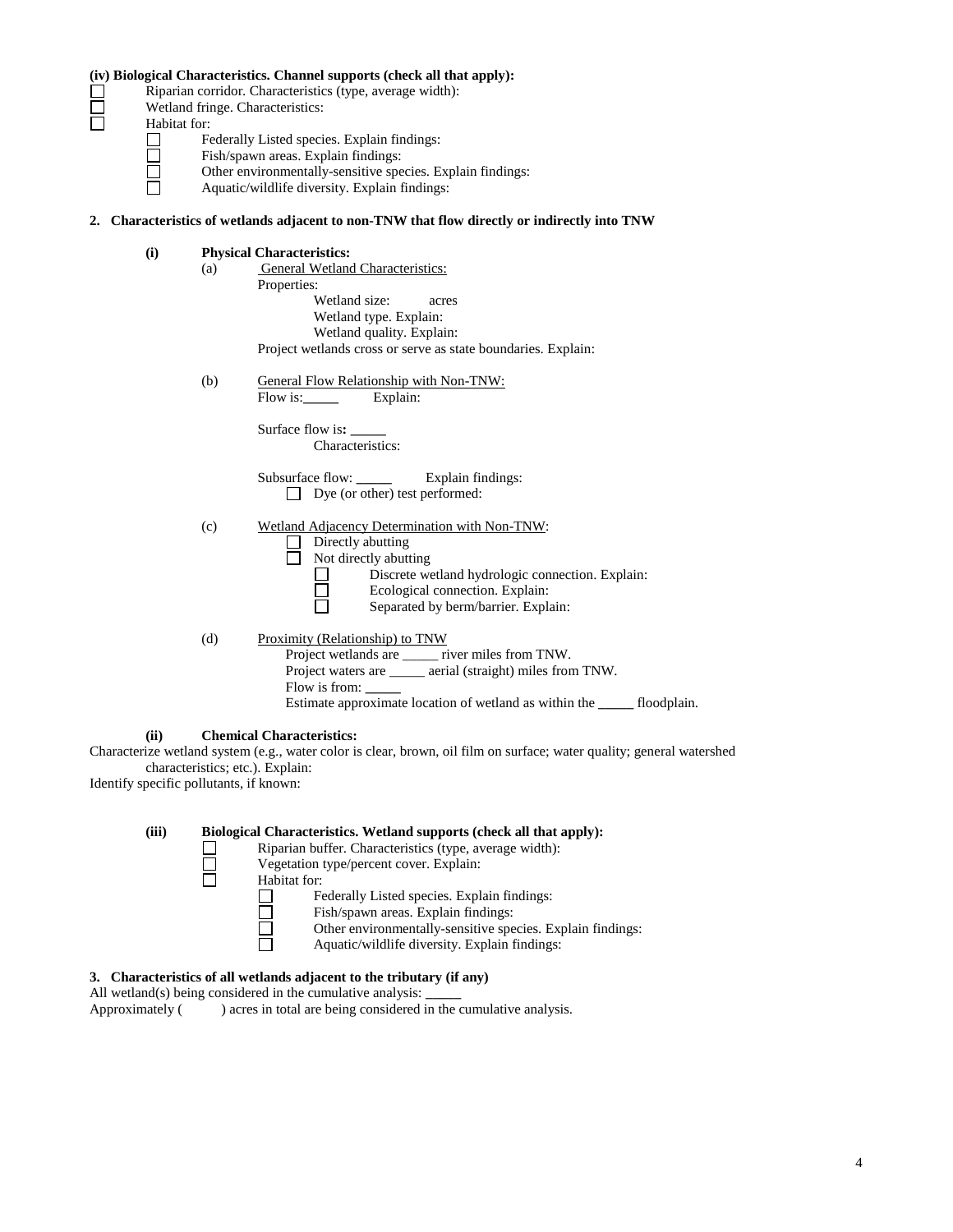Riparian corridor. Characteristics (type, average width):

Wetland fringe. Characteristics:

Habitat for:<br>  $\begin{array}{c}\n\Box \\
\Box \\
\Box \\
\Box \\
\Box\n\end{array}$ Fi O<br>
A

Federally Listed species. Explain findings: Fish/spawn areas. Explain findings:

- Other environmentally-sensitive species. Explain findings:
- Aquatic/wildlife diversity. Explain findings:

# **2. Characteristics of wetlands adjacent to non-TNW that flow directly or indirectly into TNW**

| (i)  |     | <b>Physical Characteristics:</b>                                                                                      |
|------|-----|-----------------------------------------------------------------------------------------------------------------------|
|      | (a) | <b>General Wetland Characteristics:</b>                                                                               |
|      |     | Properties:                                                                                                           |
|      |     | Wetland size:<br>acres                                                                                                |
|      |     | Wetland type. Explain:                                                                                                |
|      |     | Wetland quality. Explain:                                                                                             |
|      |     | Project wetlands cross or serve as state boundaries. Explain:                                                         |
|      | (b) | General Flow Relationship with Non-TNW:                                                                               |
|      |     | Flow is: Explain:                                                                                                     |
|      |     | Surface flow is: ______                                                                                               |
|      |     | Characteristics:                                                                                                      |
|      |     |                                                                                                                       |
|      |     | $\Box$ Dye (or other) test performed:                                                                                 |
|      | (c) | Wetland Adjacency Determination with Non-TNW:                                                                         |
|      |     | Directly abutting                                                                                                     |
|      |     | $\Box$ Not directly abutting                                                                                          |
|      |     | Discrete wetland hydrologic connection. Explain:                                                                      |
|      |     | Ecological connection. Explain:                                                                                       |
|      |     | Separated by berm/barrier. Explain:                                                                                   |
|      | (d) | Proximity (Relationship) to TNW                                                                                       |
|      |     | Project wetlands are _____ river miles from TNW.                                                                      |
|      |     | Project waters are ______ aerial (straight) miles from TNW.                                                           |
|      |     | Flow is from:                                                                                                         |
|      |     | Estimate approximate location of wetland as within the ______ floodplain.                                             |
| (ii) |     | <b>Chemical Characteristics:</b>                                                                                      |
|      |     | Characterize wetland system (e.g., water color is clear, brown, oil film on surface; water quality; general watershed |
|      |     | characteristics; etc.). Explain:                                                                                      |

Identify specific pollutants, if known:

|              | Biological Characteristics. Wetland supports (check all that apply):<br>Riparian buffer. Characteristics (type, average width): |
|--------------|---------------------------------------------------------------------------------------------------------------------------------|
|              | Vegetation type/percent cover. Explain:                                                                                         |
| Habitat for: |                                                                                                                                 |
|              | Federally Listed species. Explain findings:                                                                                     |
|              | Fish/spawn areas. Explain findings:                                                                                             |
|              | Other environmentally-sensitive species. Explain findings:                                                                      |
|              | Aquatic/wildlife diversity. Explain findings:                                                                                   |
|              |                                                                                                                                 |

# **3. Characteristics of all wetlands adjacent to the tributary (if any)**

All wetland(s) being considered in the cumulative analysis: <br>Approximately ( $\qquad$ ) acres in total are being considered in

 $\overline{\phantom{a}}$  ) acres in total are being considered in the cumulative analysis.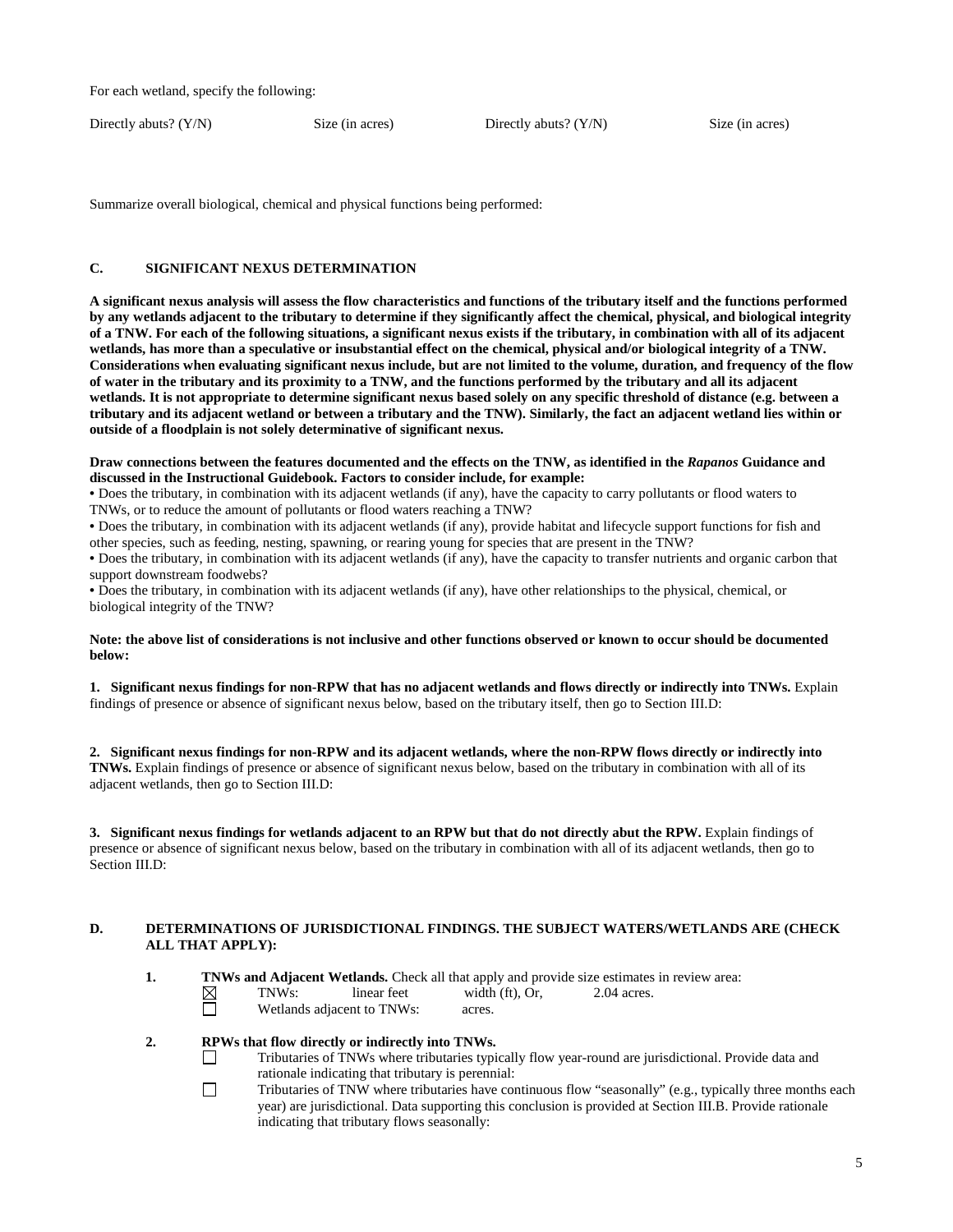For each wetland, specify the following:

Directly abuts? (Y/N) Size (in acres) Directly abuts? (Y/N) Size (in acres)

Summarize overall biological, chemical and physical functions being performed:

# **C. SIGNIFICANT NEXUS DETERMINATION**

**A significant nexus analysis will assess the flow characteristics and functions of the tributary itself and the functions performed by any wetlands adjacent to the tributary to determine if they significantly affect the chemical, physical, and biological integrity of a TNW. For each of the following situations, a significant nexus exists if the tributary, in combination with all of its adjacent wetlands, has more than a speculative or insubstantial effect on the chemical, physical and/or biological integrity of a TNW. Considerations when evaluating significant nexus include, but are not limited to the volume, duration, and frequency of the flow of water in the tributary and its proximity to a TNW, and the functions performed by the tributary and all its adjacent wetlands. It is not appropriate to determine significant nexus based solely on any specific threshold of distance (e.g. between a tributary and its adjacent wetland or between a tributary and the TNW). Similarly, the fact an adjacent wetland lies within or outside of a floodplain is not solely determinative of significant nexus.**

#### **Draw connections between the features documented and the effects on the TNW, as identified in the** *Rapanos* **Guidance and discussed in the Instructional Guidebook. Factors to consider include, for example:**

• Does the tributary, in combination with its adjacent wetlands (if any), have the capacity to carry pollutants or flood waters to TNWs, or to reduce the amount of pollutants or flood waters reaching a TNW?

• Does the tributary, in combination with its adjacent wetlands (if any), provide habitat and lifecycle support functions for fish and other species, such as feeding, nesting, spawning, or rearing young for species that are present in the TNW?

• Does the tributary, in combination with its adjacent wetlands (if any), have the capacity to transfer nutrients and organic carbon that support downstream foodwebs?

• Does the tributary, in combination with its adjacent wetlands (if any), have other relationships to the physical, chemical, or biological integrity of the TNW?

#### **Note: the above list of considerations is not inclusive and other functions observed or known to occur should be documented below:**

**1. Significant nexus findings for non-RPW that has no adjacent wetlands and flows directly or indirectly into TNWs.** Explain findings of presence or absence of significant nexus below, based on the tributary itself, then go to Section III.D:

**2. Significant nexus findings for non-RPW and its adjacent wetlands, where the non-RPW flows directly or indirectly into TNWs.** Explain findings of presence or absence of significant nexus below, based on the tributary in combination with all of its adjacent wetlands, then go to Section III.D:

**3. Significant nexus findings for wetlands adjacent to an RPW but that do not directly abut the RPW.** Explain findings of presence or absence of significant nexus below, based on the tributary in combination with all of its adjacent wetlands, then go to Section III.D:

#### **D. DETERMINATIONS OF JURISDICTIONAL FINDINGS. THE SUBJECT WATERS/WETLANDS ARE (CHECK ALL THAT APPLY):**

- **1. TNWs and Adjacent Wetlands.** Check all that apply and provide size estimates in review area:
	- $\boxtimes$ TNWs: linear feet width (ft), Or, 2.04 acres.
		- Wetlands adjacent to TNWs: acres.

## **2. RPWs that flow directly or indirectly into TNWs.**

- Tributaries of TNWs where tributaries typically flow year-round are jurisdictional. Provide data and rationale indicating that tributary is perennial:
- $\Box$ Tributaries of TNW where tributaries have continuous flow "seasonally" (e.g., typically three months each year) are jurisdictional. Data supporting this conclusion is provided at Section III.B. Provide rationale indicating that tributary flows seasonally: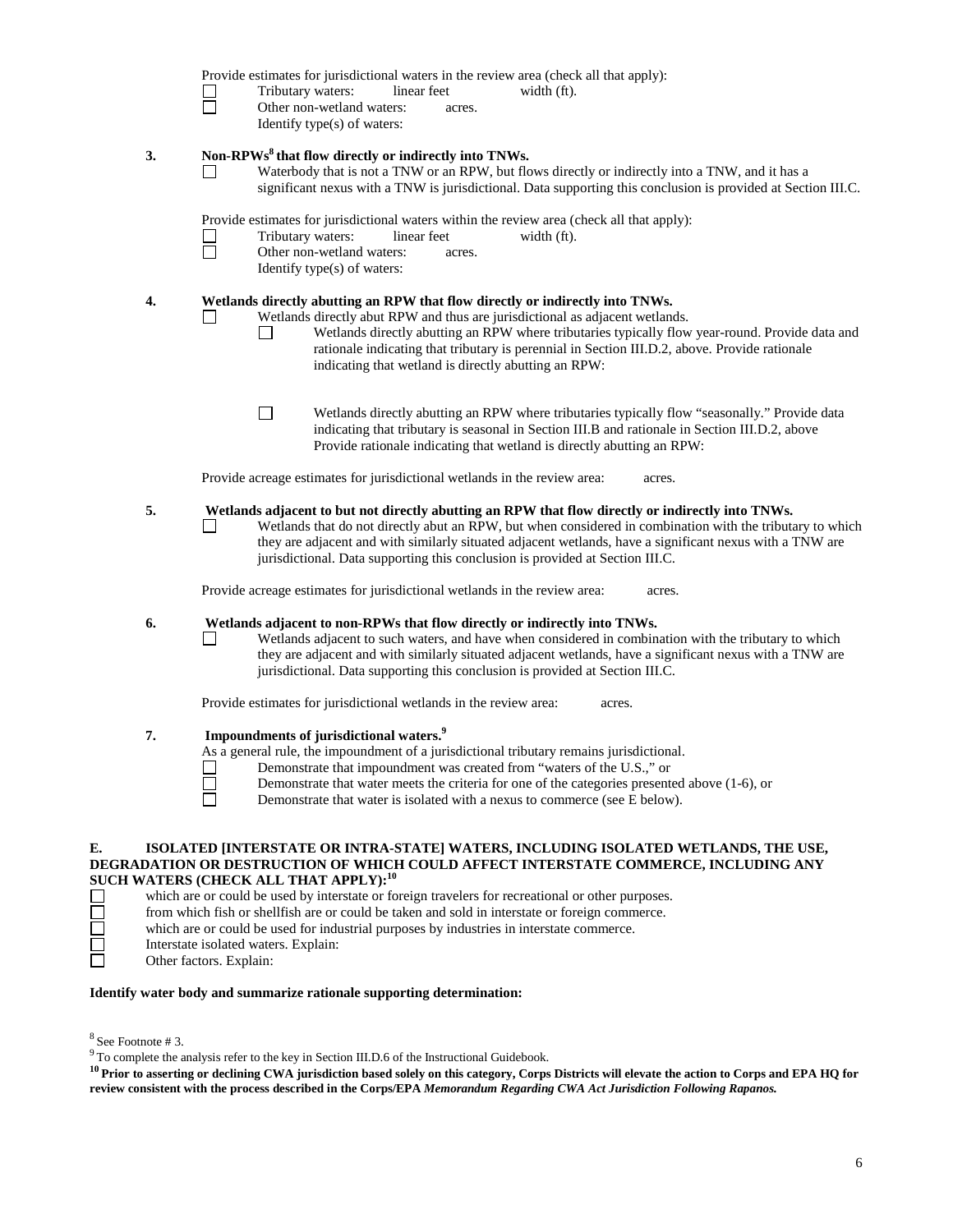|    | Tributary waters:<br>linear feet<br>width (ft).<br>П<br>Other non-wetland waters:<br>acres.<br>Identify type(s) of waters:                                                                                                                                                                                                                                                                                                               |
|----|------------------------------------------------------------------------------------------------------------------------------------------------------------------------------------------------------------------------------------------------------------------------------------------------------------------------------------------------------------------------------------------------------------------------------------------|
| 3. | Non-RPWs <sup>8</sup> that flow directly or indirectly into TNWs.<br>Waterbody that is not a TNW or an RPW, but flows directly or indirectly into a TNW, and it has a<br>significant nexus with a TNW is jurisdictional. Data supporting this conclusion is provided at Section III.C.                                                                                                                                                   |
|    | Provide estimates for jurisdictional waters within the review area (check all that apply):<br>Tributary waters:<br>linear feet<br>width (ft).<br>$\Box$<br>Other non-wetland waters:<br>acres.<br>Identify type(s) of waters:                                                                                                                                                                                                            |
| 4. | Wetlands directly abutting an RPW that flow directly or indirectly into TNWs.<br>Wetlands directly abut RPW and thus are jurisdictional as adjacent wetlands.<br>□<br>Wetlands directly abutting an RPW where tributaries typically flow year-round. Provide data and<br>$\Box$<br>rationale indicating that tributary is perennial in Section III.D.2, above. Provide rationale<br>indicating that wetland is directly abutting an RPW: |
|    | $\Box$<br>Wetlands directly abutting an RPW where tributaries typically flow "seasonally." Provide data<br>indicating that tributary is seasonal in Section III.B and rationale in Section III.D.2, above<br>Provide rationale indicating that wetland is directly abutting an RPW:                                                                                                                                                      |
|    | Provide acreage estimates for jurisdictional wetlands in the review area:<br>acres.                                                                                                                                                                                                                                                                                                                                                      |
| 5. | Wetlands adjacent to but not directly abutting an RPW that flow directly or indirectly into TNWs.<br>Wetlands that do not directly abut an RPW, but when considered in combination with the tributary to which<br>they are adjacent and with similarly situated adjacent wetlands, have a significant nexus with a TNW are<br>jurisdictional. Data supporting this conclusion is provided at Section III.C.                              |
|    | Provide acreage estimates for jurisdictional wetlands in the review area:<br>acres.                                                                                                                                                                                                                                                                                                                                                      |
| 6. | Wetlands adjacent to non-RPWs that flow directly or indirectly into TNWs.<br>Wetlands adjacent to such waters, and have when considered in combination with the tributary to which<br>they are adjacent and with similarly situated adjacent wetlands, have a significant nexus with a TNW are<br>jurisdictional. Data supporting this conclusion is provided at Section III.C.                                                          |
|    | Provide estimates for jurisdictional wetlands in the review area:<br>acres.                                                                                                                                                                                                                                                                                                                                                              |
| 7. | Impoundments of jurisdictional waters. <sup>9</sup><br>As a general rule, the impoundment of a jurisdictional tributary remains jurisdictional.<br>Demonstrate that impoundment was created from "waters of the U.S.," or<br>Demonstrate that water meets the criteria for one of the categories presented above (1-6), or<br>Demonstrate that water is isolated with a nexus to commerce (see E below).                                 |

# **SUCH WATERS (CHECK ALL THAT APPLY):<sup>10</sup>**

which are or could be used by interstate or foreign travelers for recreational or other purposes.

from which fish or shellfish are or could be taken and sold in interstate or foreign commerce.

which are or could be used for industrial purposes by industries in interstate commerce.

Interstate isolated waters. Explain:

Other factors. Explain:

# **Identify water body and summarize rationale supporting determination:**

 $8$  See Footnote # 3.

 $9^9$  To complete the analysis refer to the key in Section III.D.6 of the Instructional Guidebook.

<sup>10</sup> Prior to asserting or declining CWA jurisdiction based solely on this category, Corps Districts will elevate the action to Corps and EPA HQ for **review consistent with the process described in the Corps/EPA** *Memorandum Regarding CWA Act Jurisdiction Following Rapanos.*